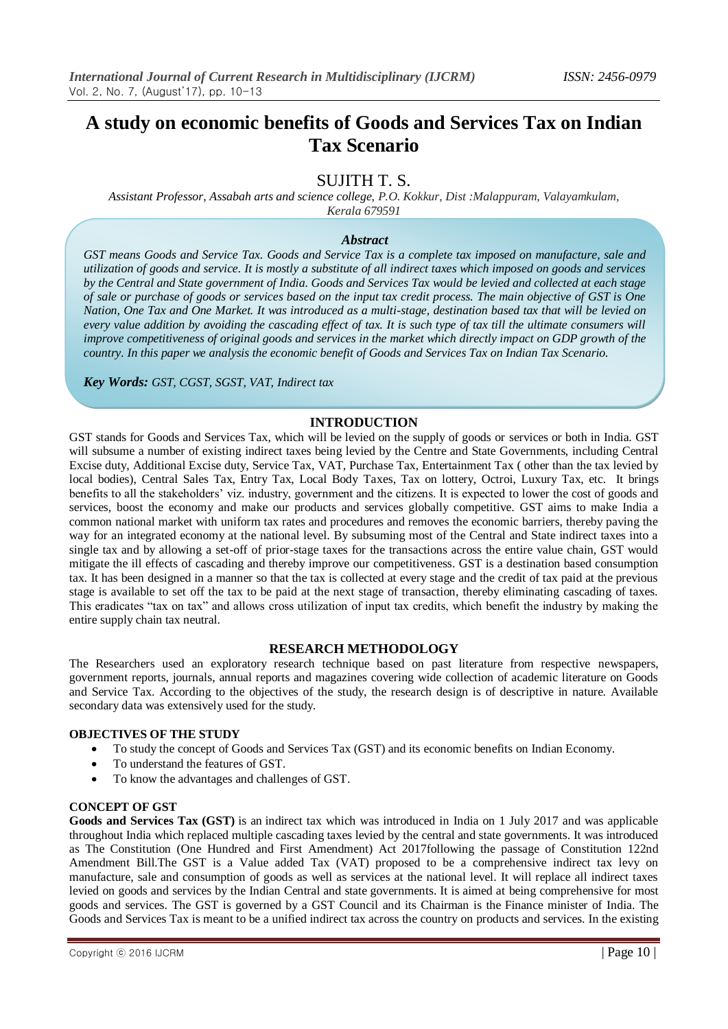# **A study on economic benefits of Goods and Services Tax on Indian Tax Scenario**

# SUJITH T. S.

*Assistant Professor, Assabah arts and science college, P.O. Kokkur, Dist :Malappuram, Valayamkulam, Kerala 679591*

#### *Abstract*

*GST means Goods and Service Tax. Goods and Service Tax is a complete tax imposed on manufacture, sale and utilization of goods and service. It is mostly a substitute of all indirect taxes which imposed on goods and services by the Central and State government of India. Goods and Services Tax would be levied and collected at each stage of sale or purchase of goods or services based on the input tax credit process. The main objective of GST is One Nation, One Tax and One Market. It was introduced as a multi-stage, destination based tax that will be levied on every value addition by avoiding the cascading effect of tax. It is such type of tax till the ultimate consumers will improve competitiveness of original goods and services in the market which directly impact on GDP growth of the country. In this paper we analysis the economic benefit of Goods and Services Tax on Indian Tax Scenario.* 

*Key Words: GST, CGST, SGST, VAT, Indirect tax*

# **INTRODUCTION**

GST stands for Goods and Services Tax, which will be levied on the supply of goods or services or both in India. GST will subsume a number of existing indirect taxes being levied by the Centre and State Governments, including Central Excise duty, Additional Excise duty, Service Tax, VAT, Purchase Tax, Entertainment Tax ( other than the tax levied by local bodies), Central Sales Tax, Entry Tax, Local Body Taxes, Tax on lottery, Octroi, Luxury Tax, etc. It brings benefits to all the stakeholders" viz. industry, government and the citizens. It is expected to lower the cost of goods and services, boost the economy and make our products and services globally competitive. GST aims to make India a common national market with uniform tax rates and procedures and removes the economic barriers, thereby paving the way for an integrated economy at the national level. By subsuming most of the Central and State indirect taxes into a single tax and by allowing a set-off of prior-stage taxes for the transactions across the entire value chain, GST would mitigate the ill effects of cascading and thereby improve our competitiveness. GST is a destination based consumption tax. It has been designed in a manner so that the tax is collected at every stage and the credit of tax paid at the previous stage is available to set off the tax to be paid at the next stage of transaction, thereby eliminating cascading of taxes. This eradicates "tax on tax" and allows cross utilization of input tax credits, which benefit the industry by making the entire supply chain tax neutral.

### **RESEARCH METHODOLOGY**

The Researchers used an exploratory research technique based on past literature from respective newspapers, government reports, journals, annual reports and magazines covering wide collection of academic literature on Goods and Service Tax. According to the objectives of the study, the research design is of descriptive in nature. Available secondary data was extensively used for the study.

#### **OBJECTIVES OF THE STUDY**

- To study the concept of Goods and Services Tax (GST) and its economic benefits on Indian Economy.
- To understand the features of GST.
- To know the advantages and challenges of GST.

#### **CONCEPT OF GST**

**Goods and Services Tax (GST)** is an indirect tax which was introduced in India on 1 July 2017 and was applicable throughout India which replaced multiple cascading taxes levied by the central and state governments. It was introduced as The Constitution (One Hundred and First Amendment) Act 2017following the passage of Constitution 122nd Amendment Bill.The GST is a Value added Tax (VAT) proposed to be a comprehensive indirect tax levy on manufacture, sale and consumption of goods as well as services at the national level. It will replace all indirect taxes levied on goods and services by the Indian Central and state governments. It is aimed at being comprehensive for most goods and services. The GST is governed by a GST Council and its Chairman is the Finance minister of India. The Goods and Services Tax is meant to be a unified indirect tax across the country on products and services. In the existing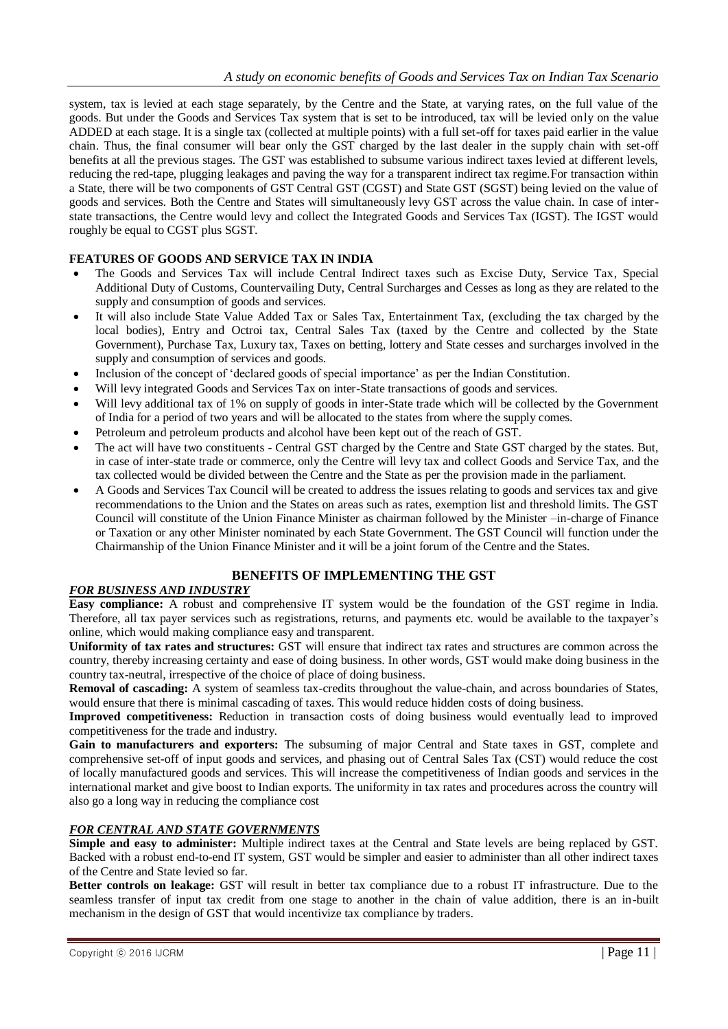system, tax is levied at each stage separately, by the Centre and the State, at varying rates, on the full value of the goods. But under the Goods and Services Tax system that is set to be introduced, tax will be levied only on the value ADDED at each stage. It is a single tax (collected at multiple points) with a full set-off for taxes paid earlier in the value chain. Thus, the final consumer will bear only the GST charged by the last dealer in the supply chain with set-off benefits at all the previous stages. The GST was established to subsume various indirect taxes levied at different levels, reducing the red-tape, plugging leakages and paving the way for a transparent indirect tax regime.For transaction within a State, there will be two components of GST Central GST (CGST) and State GST (SGST) being levied on the value of goods and services. Both the Centre and States will simultaneously levy GST across the value chain. In case of interstate transactions, the Centre would levy and collect the Integrated Goods and Services Tax (IGST). The IGST would roughly be equal to CGST plus SGST.

# **FEATURES OF GOODS AND SERVICE TAX IN INDIA**

- The Goods and Services Tax will include Central Indirect taxes such as Excise Duty, Service Tax, Special Additional Duty of Customs, Countervailing Duty, Central Surcharges and Cesses as long as they are related to the supply and consumption of goods and services.
- It will also include State Value Added Tax or Sales Tax, Entertainment Tax, (excluding the tax charged by the local bodies), Entry and Octroi tax, Central Sales Tax (taxed by the Centre and collected by the State Government), Purchase Tax, Luxury tax, Taxes on betting, lottery and State cesses and surcharges involved in the supply and consumption of services and goods.
- Inclusion of the concept of "declared goods of special importance" as per the Indian Constitution.
- Will levy integrated Goods and Services Tax on inter-State transactions of goods and services.
- Will levy additional tax of 1% on supply of goods in inter-State trade which will be collected by the Government of India for a period of two years and will be allocated to the states from where the supply comes.
- Petroleum and petroleum products and alcohol have been kept out of the reach of GST.
- The act will have two constituents Central GST charged by the Centre and State GST charged by the states. But, in case of inter-state trade or commerce, only the Centre will levy tax and collect Goods and Service Tax, and the tax collected would be divided between the Centre and the State as per the provision made in the parliament.
- A Goods and Services Tax Council will be created to address the issues relating to goods and services tax and give recommendations to the Union and the States on areas such as rates, exemption list and threshold limits. The GST Council will constitute of the Union Finance Minister as chairman followed by the Minister –in-charge of Finance or Taxation or any other Minister nominated by each State Government. The GST Council will function under the Chairmanship of the Union Finance Minister and it will be a joint forum of the Centre and the States.

# **BENEFITS OF IMPLEMENTING THE GST**

# *FOR BUSINESS AND INDUSTRY*

**Easy compliance:** A robust and comprehensive IT system would be the foundation of the GST regime in India. Therefore, all tax payer services such as registrations, returns, and payments etc. would be available to the taxpayer"s online, which would making compliance easy and transparent.

**Uniformity of tax rates and structures:** GST will ensure that indirect tax rates and structures are common across the country, thereby increasing certainty and ease of doing business. In other words, GST would make doing business in the country tax-neutral, irrespective of the choice of place of doing business.

**Removal of cascading:** A system of seamless tax-credits throughout the value-chain, and across boundaries of States, would ensure that there is minimal cascading of taxes. This would reduce hidden costs of doing business.

**Improved competitiveness:** Reduction in transaction costs of doing business would eventually lead to improved competitiveness for the trade and industry.

Gain to manufacturers and exporters: The subsuming of major Central and State taxes in GST, complete and comprehensive set-off of input goods and services, and phasing out of Central Sales Tax (CST) would reduce the cost of locally manufactured goods and services. This will increase the competitiveness of Indian goods and services in the international market and give boost to Indian exports. The uniformity in tax rates and procedures across the country will also go a long way in reducing the compliance cost

# *FOR CENTRAL AND STATE GOVERNMENTS*

**Simple and easy to administer:** Multiple indirect taxes at the Central and State levels are being replaced by GST. Backed with a robust end-to-end IT system, GST would be simpler and easier to administer than all other indirect taxes of the Centre and State levied so far.

**Better controls on leakage:** GST will result in better tax compliance due to a robust IT infrastructure. Due to the seamless transfer of input tax credit from one stage to another in the chain of value addition, there is an in-built mechanism in the design of GST that would incentivize tax compliance by traders.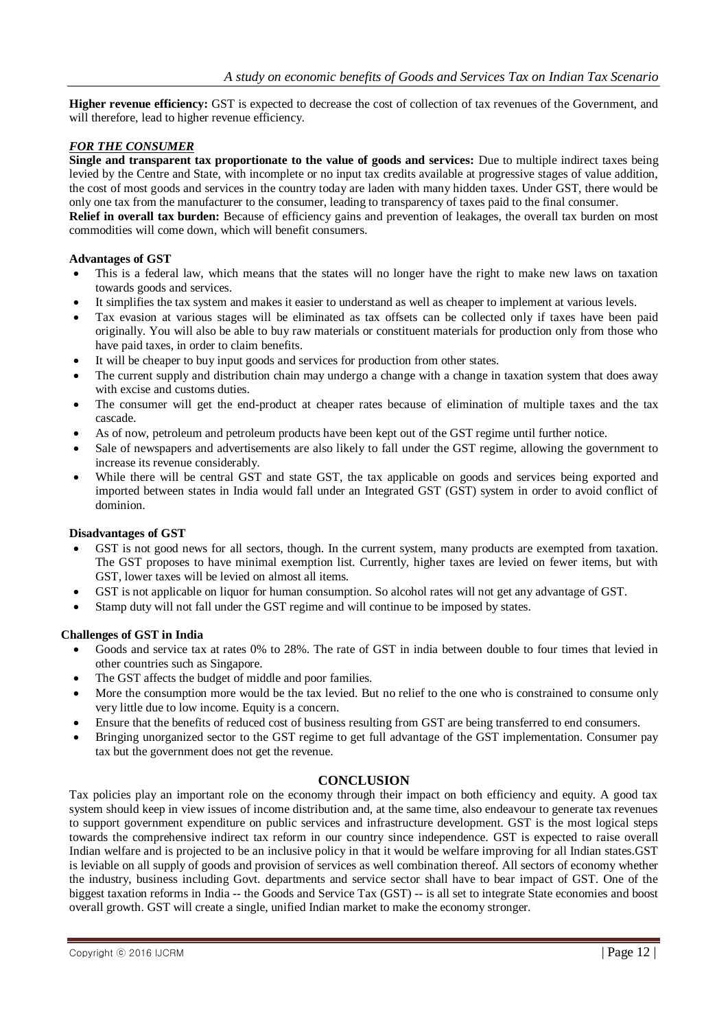**Higher revenue efficiency:** GST is expected to decrease the cost of collection of tax revenues of the Government, and will therefore, lead to higher revenue efficiency.

#### *FOR THE CONSUMER*

**Single and transparent tax proportionate to the value of goods and services:** Due to multiple indirect taxes being levied by the Centre and State, with incomplete or no input tax credits available at progressive stages of value addition, the cost of most goods and services in the country today are laden with many hidden taxes. Under GST, there would be only one tax from the manufacturer to the consumer, leading to transparency of taxes paid to the final consumer. **Relief in overall tax burden:** Because of efficiency gains and prevention of leakages, the overall tax burden on most commodities will come down, which will benefit consumers.

#### **Advantages of GST**

- This is a federal law, which means that the states will no longer have the right to make new laws on taxation towards goods and services.
- It simplifies the tax system and makes it easier to understand as well as cheaper to implement at various levels.
- Tax evasion at various stages will be eliminated as tax offsets can be collected only if taxes have been paid originally. You will also be able to buy raw materials or constituent materials for production only from those who have paid taxes, in order to claim benefits.
- It will be cheaper to buy input goods and services for production from other states.
- The current supply and distribution chain may undergo a change with a change in taxation system that does away with excise and customs duties.
- The consumer will get the end-product at cheaper rates because of elimination of multiple taxes and the tax cascade.
- As of now, petroleum and petroleum products have been kept out of the GST regime until further notice.
- Sale of newspapers and advertisements are also likely to fall under the GST regime, allowing the government to increase its revenue considerably.
- While there will be central GST and state GST, the tax applicable on goods and services being exported and imported between states in India would fall under an Integrated GST (GST) system in order to avoid conflict of dominion.

#### **Disadvantages of GST**

- GST is not good news for all sectors, though. In the current system, many products are exempted from taxation. The GST proposes to have minimal exemption list. Currently, higher taxes are levied on fewer items, but with GST, lower taxes will be levied on almost all items.
- GST is not applicable on liquor for human consumption. So alcohol rates will not get any advantage of GST.
- Stamp duty will not fall under the GST regime and will continue to be imposed by states.

#### **Challenges of GST in India**

- Goods and service tax at rates 0% to 28%. The rate of GST in india between double to four times that levied in other countries such as Singapore.
- The GST affects the budget of middle and poor families.
- More the consumption more would be the tax levied. But no relief to the one who is constrained to consume only very little due to low income. Equity is a concern.
- Ensure that the benefits of reduced cost of business resulting from GST are being transferred to end consumers.
- Bringing unorganized sector to the GST regime to get full advantage of the GST implementation. Consumer pay tax but the government does not get the revenue.

#### **CONCLUSION**

Tax policies play an important role on the economy through their impact on both efficiency and equity. A good tax system should keep in view issues of income distribution and, at the same time, also endeavour to generate tax revenues to support government expenditure on public services and infrastructure development. GST is the most logical steps towards the comprehensive indirect tax reform in our country since independence. GST is expected to raise overall Indian welfare and is projected to be an inclusive policy in that it would be welfare improving for all Indian states.GST is leviable on all supply of goods and provision of services as well combination thereof. All sectors of economy whether the industry, business including Govt. departments and service sector shall have to bear impact of GST. One of the biggest taxation reforms in India -- the Goods and Service Tax (GST) -- is all set to integrate State economies and boost overall growth. GST will create a single, unified Indian market to make the economy stronger.